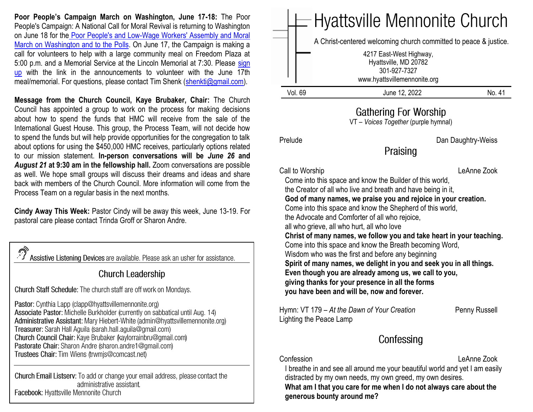**Poor People's Campaign March on Washington, June 17-18:** The Poor People's Campaign: A National Call for Moral Revival is returning to Washington on June 18 for the [Poor People's and Low-Wage Workers' Assembly and Moral](https://www.poorpeoplescampaign.org/june18/)  [March on Washington and to the Polls.](https://www.poorpeoplescampaign.org/june18/) On June 17, the Campaign is making a call for volunteers to help with a large community meal on Freedom Plaza at 5:00 p.m. and a Memorial Service at the Lincoln Memorial at 7:30. Please [sign](https://docs.google.com/forms/d/e/1FAIpQLSc4lTWjODdX_ayzBT-wenM388BV6HSf1X-IYGCYnEURhUiQfQ/viewform)  [up](https://docs.google.com/forms/d/e/1FAIpQLSc4lTWjODdX_ayzBT-wenM388BV6HSf1X-IYGCYnEURhUiQfQ/viewform) with the link in the announcements to volunteer with the June 17th meal/memorial. For questions, please contact Tim Shenk [\(shenkti@gmail.com\)](mailto:shenkti@gmail.com).

**Message from the Church Council, Kaye Brubaker, Chair:** The Church Council has appointed a group to work on the process for making decisions about how to spend the funds that HMC will receive from the sale of the International Guest House. This group, the Process Team, will not decide how to spend the funds but will help provide opportunities for the congregation to talk about options for using the \$450,000 HMC receives, particularly options related to our mission statement. **In-person conversations will be** *June 26* **and**  *August 21* **at 9:30 am in the fellowship hall.** Zoom conversations are possible as well. We hope small groups will discuss their dreams and ideas and share back with members of the Church Council. More information will come from the Process Team on a regular basis in the next months.

**Cindy Away This Week:** Pastor Cindy will be away this week, June 13-19. For pastoral care please contact Trinda Groff or Sharon Andre.

Assistive Listening Devices are available. Please ask an usher for assistance.

#### **Church Leadership**

Church Staff Schedule: The church staff are off work on Mondays.

Pastor: Cynthia Lapp (clapp@hyattsvillemennonite.org) Associate Pastor: Michelle Burkholder (currently on sabbatical until Aug. 14) Administrative Assistant: Mary Hiebert-White (admin@hyattsvillemennonite.org) Treasurer: Sarah Hall Aguila (sarah.hall.aguila@gmail.com) Church Council Chair: Kaye Brubaker (kaylorrainbru@gmail.com) Pastorate Chair: Sharon Andre (sharon andre1@gmail.com) Trustees Chair: Tim Wiens (trwmjs@comcast.net)

Church Email Listserv: To add or change your email address, please contact the administrative assistant. Facebook: Hyattsville Mennonite Church

|         | A Christ-centered welcoming church committed to peace & justice.                                 |       |
|---------|--------------------------------------------------------------------------------------------------|-------|
|         |                                                                                                  |       |
|         | 4217 East-West Highway,<br>Hyattsville, MD 20782<br>301-927-7327<br>www.hyattsvillemennonite.org |       |
| Vol. 69 | June 12, 2022                                                                                    | No 41 |

# **Gathering For Worship**

VT – *Voices Together* (purple hymnal)

Praising

Prelude Dan Daughtry-Weiss

Call to Worship LeAnne Zook

 Come into this space and know the Builder of this world, the Creator of all who live and breath and have being in it,  **God of many names, we praise you and rejoice in your creation.** Come into this space and know the Shepherd of this world, the Advocate and Comforter of all who rejoice, all who grieve, all who hurt, all who love  **Christ of many names, we follow you and take heart in your teaching.** Come into this space and know the Breath becoming Word, Wisdom who was the first and before any beginning  **Spirit of many names, we delight in you and seek you in all things. Even though you are already among us, we call to you, giving thanks for your presence in all the forms you have been and will be, now and forever.**

Hymn: VT 179 - At the Dawn of Your Creation Penny Russell Lighting the Peace Lamp

# Confessing

Confession LeAnne Zook

 I breathe in and see all around me your beautiful world and yet I am easily distracted by my own needs, my own greed, my own desires.

 **What am I that you care for me when I do not always care about the generous bounty around me?**